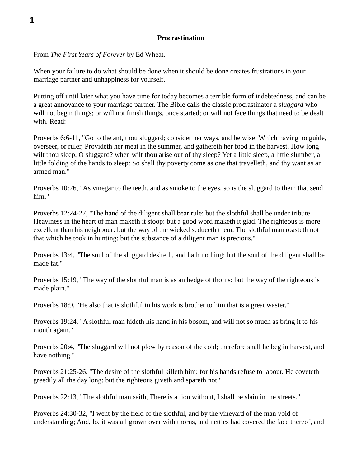## **Procrastination**

From *The First Years of Forever* by Ed Wheat.

When your failure to do what should be done when it should be done creates frustrations in your marriage partner and unhappiness for yourself.

Putting off until later what you have time for today becomes a terrible form of indebtedness, and can be a great annoyance to your marriage partner. The Bible calls the classic procrastinator a *sluggard* who will not begin things; or will not finish things, once started; or will not face things that need to be dealt with. Read:

Proverbs 6:6-11, "Go to the ant, thou sluggard; consider her ways, and be wise: Which having no guide, overseer, or ruler, Provideth her meat in the summer, and gathereth her food in the harvest. How long wilt thou sleep, O sluggard? when wilt thou arise out of thy sleep? Yet a little sleep, a little slumber, a little folding of the hands to sleep: So shall thy poverty come as one that travelleth, and thy want as an armed man."

Proverbs 10:26, "As vinegar to the teeth, and as smoke to the eyes, so is the sluggard to them that send him."

Proverbs 12:24-27, "The hand of the diligent shall bear rule: but the slothful shall be under tribute. Heaviness in the heart of man maketh it stoop: but a good word maketh it glad. The righteous is more excellent than his neighbour: but the way of the wicked seduceth them. The slothful man roasteth not that which he took in hunting: but the substance of a diligent man is precious."

Proverbs 13:4, "The soul of the sluggard desireth, and hath nothing: but the soul of the diligent shall be made fat."

Proverbs 15:19, "The way of the slothful man is as an hedge of thorns: but the way of the righteous is made plain."

Proverbs 18:9, "He also that is slothful in his work is brother to him that is a great waster."

Proverbs 19:24, "A slothful man hideth his hand in his bosom, and will not so much as bring it to his mouth again."

Proverbs 20:4, "The sluggard will not plow by reason of the cold; therefore shall he beg in harvest, and have nothing."

Proverbs 21:25-26, "The desire of the slothful killeth him; for his hands refuse to labour. He coveteth greedily all the day long: but the righteous giveth and spareth not."

Proverbs 22:13, "The slothful man saith, There is a lion without, I shall be slain in the streets."

Proverbs 24:30-32, "I went by the field of the slothful, and by the vineyard of the man void of understanding; And, lo, it was all grown over with thorns, and nettles had covered the face thereof, and